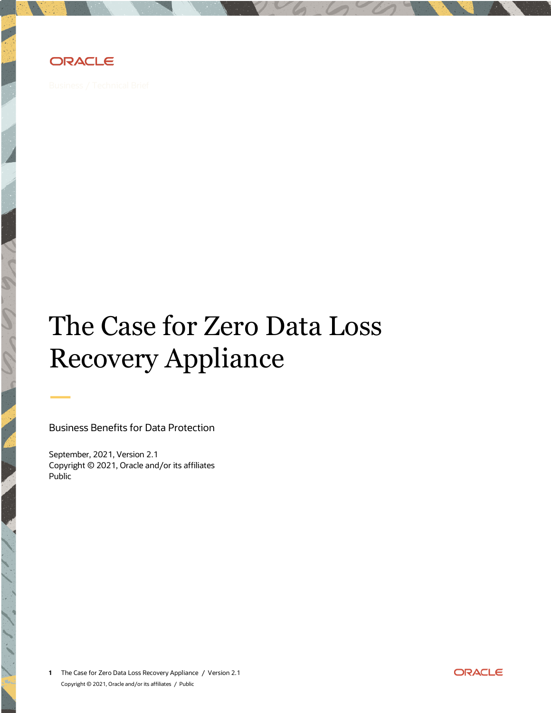

# The Case for Zero Data Loss Recovery Appliance

Business Benefits for Data Protection

 Copyright © 2021, Oracle and/or its affiliates September, 2021, Version 2.1 Public

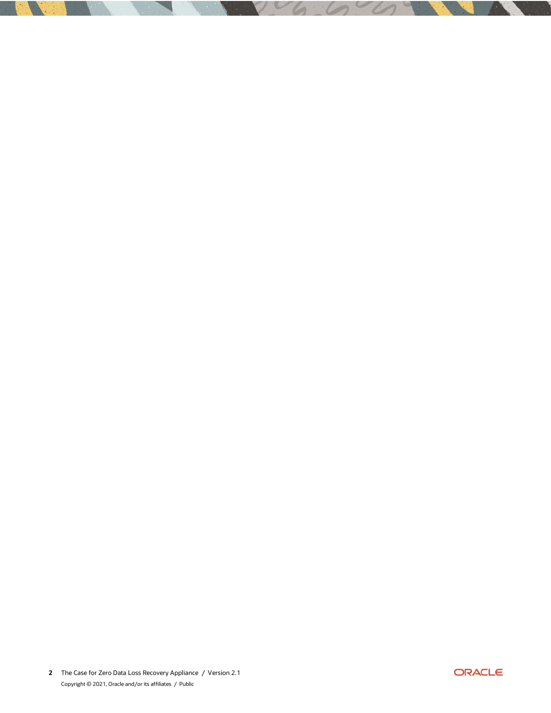**2** The Case for Zero Data Loss Recovery Appliance / Version 2.1 Copyright © 2021, Oracle and/or its affiliates / Public

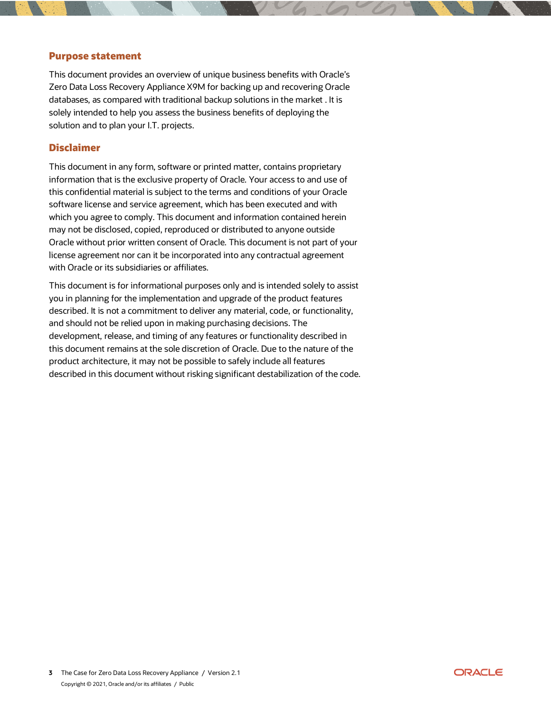# **Purpose statement**

 This document provides an overview of unique business benefits with Oracle's Zero Data Loss Recovery Appliance X9M for backing up and recovering Oracle databases, as compared with traditional backup solutions in the market . It is solely intended to help you assess the business benefits of deploying the solution and to plan your I.T. projects.

# **Disclaimer**

 This document in any form, software or printed matter, contains proprietary information that is the exclusive property of Oracle. Your access to and use of this confidential material is subject to the terms and conditions of your Oracle software license and service agreement, which has been executed and with which you agree to comply. This document and information contained herein may not be disclosed, copied, reproduced or distributed to anyone outside Oracle without prior written consent of Oracle. This document is not part of your license agreement nor can it be incorporated into any contractual agreement with Oracle or its subsidiaries or affiliates.

 This document is for informational purposes only and is intended solely to assist you in planning for the implementation and upgrade of the product features described. It is not a commitment to deliver any material, code, or functionality, and should not be relied upon in making purchasing decisions. The development, release, and timing of any features or functionality described in this document remains at the sole discretion of Oracle. Due to the nature of the product architecture, it may not be possible to safely include all features described in this document without risking significant destabilization of the code.

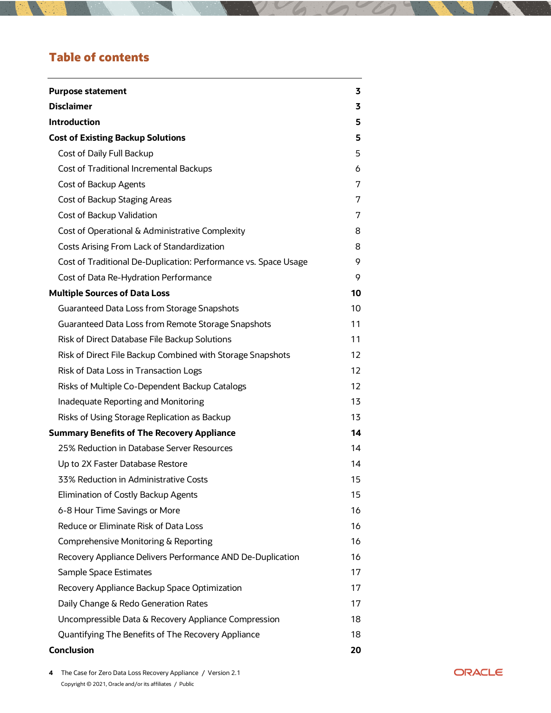# **Table of contents**

| <b>Purpose statement</b>                                        | 3  |
|-----------------------------------------------------------------|----|
| <b>Disclaimer</b>                                               | 3  |
| <b>Introduction</b>                                             | 5  |
| <b>Cost of Existing Backup Solutions</b>                        | 5  |
| Cost of Daily Full Backup                                       | 5  |
| Cost of Traditional Incremental Backups                         | 6  |
| Cost of Backup Agents                                           | 7  |
| Cost of Backup Staging Areas                                    | 7  |
| Cost of Backup Validation                                       | 7  |
| Cost of Operational & Administrative Complexity                 | 8  |
| Costs Arising From Lack of Standardization                      | 8  |
| Cost of Traditional De-Duplication: Performance vs. Space Usage | 9  |
| Cost of Data Re-Hydration Performance                           | 9  |
| <b>Multiple Sources of Data Loss</b>                            | 10 |
| Guaranteed Data Loss from Storage Snapshots                     | 10 |
| Guaranteed Data Loss from Remote Storage Snapshots              | 11 |
| Risk of Direct Database File Backup Solutions                   | 11 |
| Risk of Direct File Backup Combined with Storage Snapshots      | 12 |
| Risk of Data Loss in Transaction Logs                           | 12 |
| Risks of Multiple Co-Dependent Backup Catalogs                  |    |
| Inadequate Reporting and Monitoring                             | 13 |
| Risks of Using Storage Replication as Backup                    | 13 |
| <b>Summary Benefits of The Recovery Appliance</b>               | 14 |
| 25% Reduction in Database Server Resources                      | 14 |
| Up to 2X Faster Database Restore                                | 14 |
| 33% Reduction in Administrative Costs                           | 15 |
| Elimination of Costly Backup Agents                             | 15 |
| 6-8 Hour Time Savings or More                                   | 16 |
| Reduce or Eliminate Risk of Data Loss                           | 16 |
| Comprehensive Monitoring & Reporting                            | 16 |
| Recovery Appliance Delivers Performance AND De-Duplication      | 16 |
| <b>Sample Space Estimates</b>                                   | 17 |
| Recovery Appliance Backup Space Optimization                    | 17 |
| Daily Change & Redo Generation Rates                            | 17 |
| Uncompressible Data & Recovery Appliance Compression            | 18 |
| Quantifying The Benefits of The Recovery Appliance              | 18 |
| <b>Conclusion</b>                                               | 20 |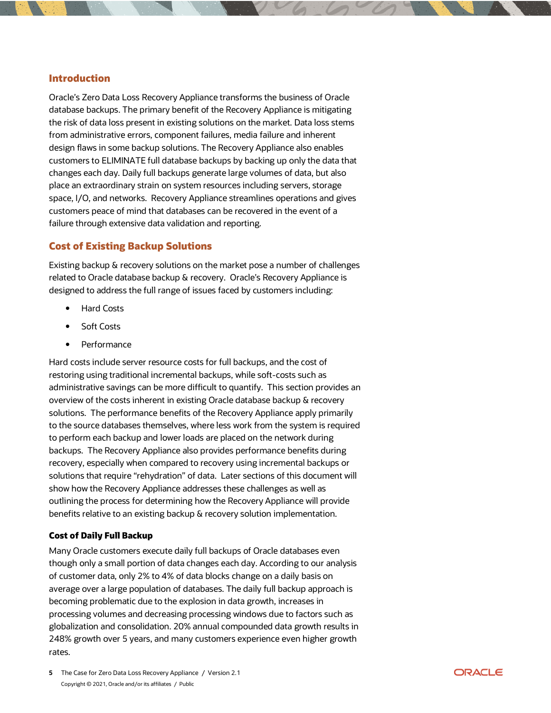# **Introduction**

 Oracle's Zero Data Loss Recovery Appliance transforms the business of Oracle database backups. The primary benefit of the Recovery Appliance is mitigating the risk of data loss present in existing solutions on the market. Data loss stems from administrative errors, component failures, media failure and inherent design flaws in some backup solutions. The Recovery Appliance also enables customers to ELIMINATE full database backups by backing up only the data that changes each day. Daily full backups generate large volumes of data, but also place an extraordinary strain on system resources including servers, storage space, I/O, and networks. Recovery Appliance streamlines operations and gives customers peace of mind that databases can be recovered in the event of a failure through extensive data validation and reporting.

# **Cost of Existing Backup Solutions**

 Existing backup & recovery solutions on the market pose a number of challenges related to Oracle database backup & recovery. Oracle's Recovery Appliance is designed to address the full range of issues faced by customers including:

- Hard Costs
- Soft Costs
- **Performance**

 Hard costs include server resource costs for full backups, and the cost of restoring using traditional incremental backups, while soft-costs such as administrative savings can be more difficult to quantify. This section provides an overview of the costs inherent in existing Oracle database backup & recovery solutions. The performance benefits of the Recovery Appliance apply primarily to the source databases themselves, where less work from the system is required to perform each backup and lower loads are placed on the network during backups. The Recovery Appliance also provides performance benefits during recovery, especially when compared to recovery using incremental backups or solutions that require "rehydration" of data. Later sections of this document will show how the Recovery Appliance addresses these challenges as well as outlining the process for determining how the Recovery Appliance will provide benefits relative to an existing backup & recovery solution implementation.

# **Cost of Daily Full Backup**

 Many Oracle customers execute daily full backups of Oracle databases even though only a small portion of data changes each day. According to our analysis of customer data, only 2% to 4% of data blocks change on a daily basis on average over a large population of databases. The daily full backup approach is becoming problematic due to the explosion in data growth, increases in processing volumes and decreasing processing windows due to factors such as globalization and consolidation. 20% annual compounded data growth results in 248% growth over 5 years, and many customers experience even higher growth rates.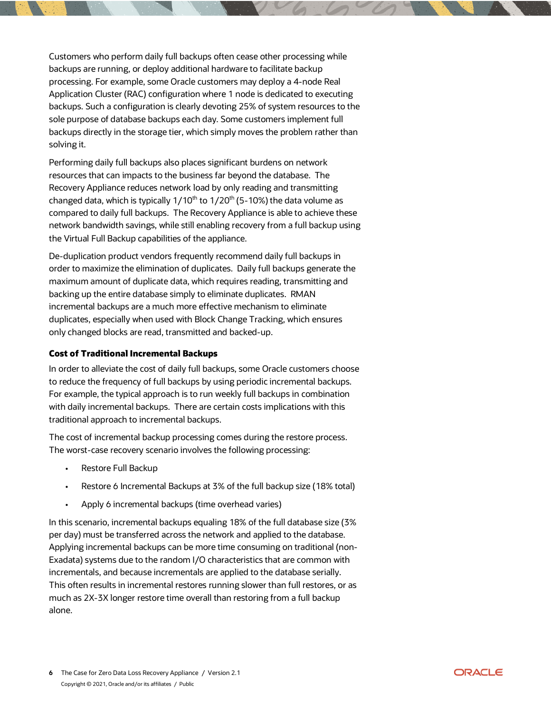Customers who perform daily full backups often cease other processing while backups are running, or deploy additional hardware to facilitate backup processing. For example, some Oracle customers may deploy a 4-node Real Application Cluster (RAC) configuration where 1 node is dedicated to executing backups. Such a configuration is clearly devoting 25% of system resources to the sole purpose of database backups each day. Some customers implement full backups directly in the storage tier, which simply moves the problem rather than solving it.

 Performing daily full backups also places significant burdens on network resources that can impacts to the business far beyond the database. The Recovery Appliance reduces network load by only reading and transmitting changed data, which is typically 1/10<sup>th</sup> to 1/20<sup>th</sup> (5-10%) the data volume as compared to daily full backups. The Recovery Appliance is able to achieve these network bandwidth savings, while still enabling recovery from a full backup using the Virtual Full Backup capabilities of the appliance.

 De-duplication product vendors frequently recommend daily full backups in order to maximize the elimination of duplicates. Daily full backups generate the maximum amount of duplicate data, which requires reading, transmitting and backing up the entire database simply to eliminate duplicates. RMAN incremental backups are a much more effective mechanism to eliminate duplicates, especially when used with Block Change Tracking, which ensures only changed blocks are read, transmitted and backed-up.

# **Cost of Traditional Incremental Backups**

 In order to alleviate the cost of daily full backups, some Oracle customers choose to reduce the frequency of full backups by using periodic incremental backups. For example, the typical approach is to run weekly full backups in combination with daily incremental backups. There are certain costs implications with this traditional approach to incremental backups.

 The cost of incremental backup processing comes during the restore process. The worst-case recovery scenario involves the following processing:

- Restore Full Backup
- Restore 6 Incremental Backups at 3% of the full backup size (18% total)
- Apply 6 incremental backups (time overhead varies)

 In this scenario, incremental backups equaling 18% of the full database size (3% per day) must be transferred across the network and applied to the database. Applying incremental backups can be more time consuming on traditional (non- Exadata) systems due to the random I/O characteristics that are common with incrementals, and because incrementals are applied to the database serially. This often results in incremental restores running slower than full restores, or as much as 2X-3X longer restore time overall than restoring from a full backup alone.

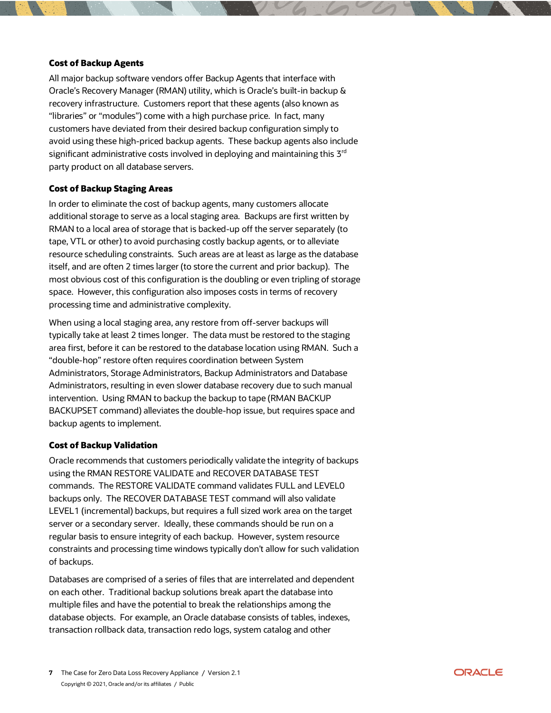## **Cost of Backup Agents**

 All major backup software vendors offer Backup Agents that interface with Oracle's Recovery Manager (RMAN) utility, which is Oracle's built-in backup & recovery infrastructure. Customers report that these agents (also known as "libraries" or "modules") come with a high purchase price. In fact, many customers have deviated from their desired backup configuration simply to avoid using these high-priced backup agents. These backup agents also include significant administrative costs involved in deploying and maintaining this  $3^{\mathsf{rd}}$ party product on all database servers.

# **Cost of Backup Staging Areas**

 In order to eliminate the cost of backup agents, many customers allocate additional storage to serve as a local staging area. Backups are first written by RMAN to a local area of storage that is backed-up off the server separately (to tape, VTL or other) to avoid purchasing costly backup agents, or to alleviate resource scheduling constraints. Such areas are at least as large as the database itself, and are often 2 times larger (to store the current and prior backup). The most obvious cost of this configuration is the doubling or even tripling of storage space. However, this configuration also imposes costs in terms of recovery processing time and administrative complexity.

 When using a local staging area, any restore from off-server backups will typically take at least 2 times longer. The data must be restored to the staging area first, before it can be restored to the database location using RMAN. Such a "double-hop" restore often requires coordination between System Administrators, Storage Administrators, Backup Administrators and Database Administrators, resulting in even slower database recovery due to such manual intervention. Using RMAN to backup the backup to tape (RMAN BACKUP BACKUPSET command) alleviates the double-hop issue, but requires space and backup agents to implement.

## **Cost of Backup Validation**

 Oracle recommends that customers periodically validate the integrity of backups using the RMAN RESTORE VALIDATE and RECOVER DATABASE TEST commands. The RESTORE VALIDATE command validates FULL and LEVEL0 backups only. The RECOVER DATABASE TEST command will also validate LEVEL1 (incremental) backups, but requires a full sized work area on the target server or a secondary server. Ideally, these commands should be run on a regular basis to ensure integrity of each backup. However, system resource constraints and processing time windows typically don't allow for such validation of backups.

 Databases are comprised of a series of files that are interrelated and dependent on each other. Traditional backup solutions break apart the database into multiple files and have the potential to break the relationships among the database objects. For example, an Oracle database consists of tables, indexes, transaction rollback data, transaction redo logs, system catalog and other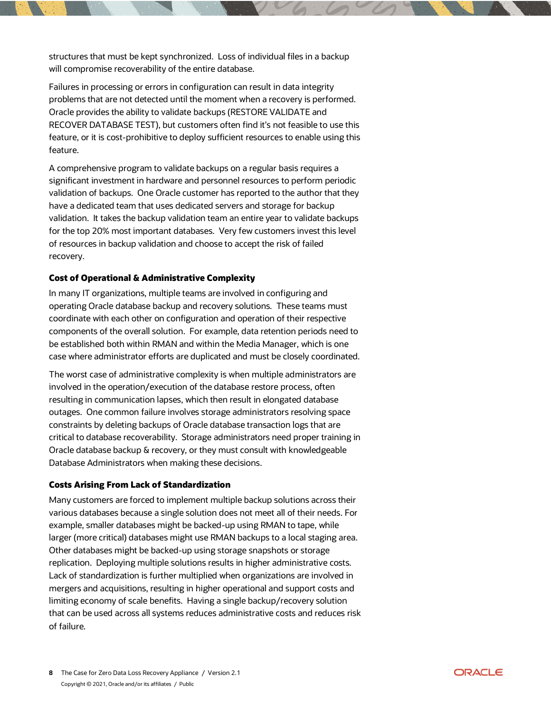structures that must be kept synchronized. Loss of individual files in a backup will compromise recoverability of the entire database.

 Failures in processing or errors in configuration can result in data integrity problems that are not detected until the moment when a recovery is performed. Oracle provides the ability to validate backups (RESTORE VALIDATE and RECOVER DATABASE TEST), but customers often find it's not feasible to use this feature, or it is cost-prohibitive to deploy sufficient resources to enable using this feature.

 A comprehensive program to validate backups on a regular basis requires a significant investment in hardware and personnel resources to perform periodic validation of backups. One Oracle customer has reported to the author that they have a dedicated team that uses dedicated servers and storage for backup validation. It takes the backup validation team an entire year to validate backups for the top 20% most important databases. Very few customers invest this level of resources in backup validation and choose to accept the risk of failed recovery.

# **Cost of Operational & Administrative Complexity**

 In many IT organizations, multiple teams are involved in configuring and operating Oracle database backup and recovery solutions. These teams must coordinate with each other on configuration and operation of their respective components of the overall solution. For example, data retention periods need to be established both within RMAN and within the Media Manager, which is one case where administrator efforts are duplicated and must be closely coordinated.

 The worst case of administrative complexity is when multiple administrators are involved in the operation/execution of the database restore process, often resulting in communication lapses, which then result in elongated database outages. One common failure involves storage administrators resolving space constraints by deleting backups of Oracle database transaction logs that are critical to database recoverability. Storage administrators need proper training in Oracle database backup & recovery, or they must consult with knowledgeable Database Administrators when making these decisions.

# **Costs Arising From Lack of Standardization**

 Many customers are forced to implement multiple backup solutions across their various databases because a single solution does not meet all of their needs. For example, smaller databases might be backed-up using RMAN to tape, while larger (more critical) databases might use RMAN backups to a local staging area. Other databases might be backed-up using storage snapshots or storage replication. Deploying multiple solutions results in higher administrative costs. Lack of standardization is further multiplied when organizations are involved in mergers and acquisitions, resulting in higher operational and support costs and limiting economy of scale benefits. Having a single backup/recovery solution that can be used across all systems reduces administrative costs and reduces risk of failure.

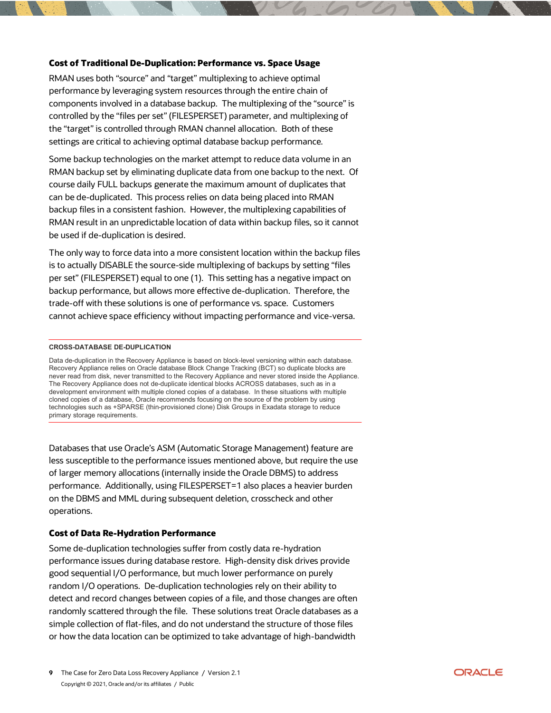## **Cost of Traditional De-Duplication: Performance vs. Space Usage**

 RMAN uses both "source" and "target" multiplexing to achieve optimal performance by leveraging system resources through the entire chain of components involved in a database backup. The multiplexing of the "source" is controlled by the "files per set" (FILESPERSET) parameter, and multiplexing of the "target" is controlled through RMAN channel allocation. Both of these settings are critical to achieving optimal database backup performance.

 Some backup technologies on the market attempt to reduce data volume in an RMAN backup set by eliminating duplicate data from one backup to the next. Of course daily FULL backups generate the maximum amount of duplicates that can be de-duplicated. This process relies on data being placed into RMAN backup files in a consistent fashion. However, the multiplexing capabilities of RMAN result in an unpredictable location of data within backup files, so it cannot be used if de-duplication is desired.

 The only way to force data into a more consistent location within the backup files is to actually DISABLE the source-side multiplexing of backups by setting "files per set" (FILESPERSET) equal to one (1). This setting has a negative impact on backup performance, but allows more effective de-duplication. Therefore, the trade-off with these solutions is one of performance vs. space. Customers cannot achieve space efficiency without impacting performance and vice-versa.

#### **CROSS-DATABASE DE-DUPLICATION**

 Data de-duplication in the Recovery Appliance is based on block-level versioning within each database. Recovery Appliance relies on Oracle database Block Change Tracking (BCT) so duplicate blocks are never read from disk, never transmitted to the Recovery Appliance and never stored inside the Appliance. The Recovery Appliance does not de-duplicate identical blocks ACROSS databases, such as in a development environment with multiple cloned copies of a database. In these situations with multiple cloned copies of a database, Oracle recommends focusing on the source of the problem by using technologies such as +SPARSE (thin-provisioned clone) Disk Groups in Exadata storage to reduce primary storage requirements.

 Databases that use Oracle's ASM (Automatic Storage Management) feature are less susceptible to the performance issues mentioned above, but require the use of larger memory allocations (internally inside the Oracle DBMS) to address performance. Additionally, using FILESPERSET=1 also places a heavier burden on the DBMS and MML during subsequent deletion, crosscheck and other operations.

## **Cost of Data Re-Hydration Performance**

 Some de-duplication technologies suffer from costly data re-hydration performance issues during database restore. High-density disk drives provide good sequential I/O performance, but much lower performance on purely random I/O operations. De-duplication technologies rely on their ability to detect and record changes between copies of a file, and those changes are often randomly scattered through the file. These solutions treat Oracle databases as a simple collection of flat-files, and do not understand the structure of those files or how the data location can be optimized to take advantage of high-bandwidth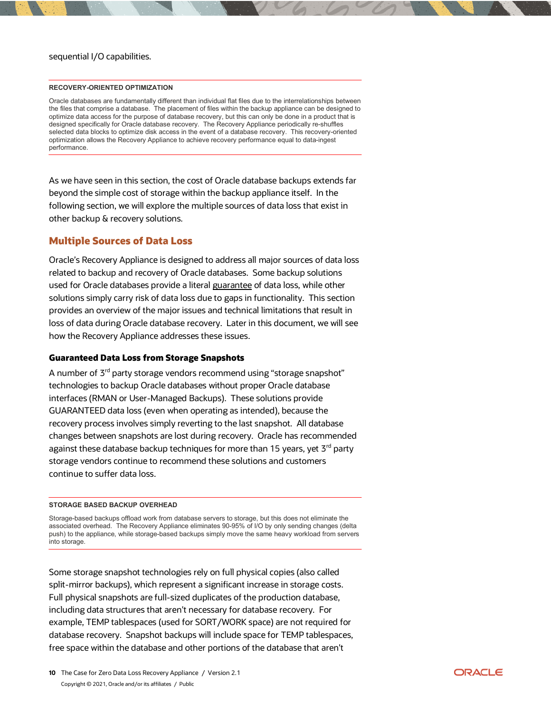### sequential I/O capabilities.

#### **RECOVERY-ORIENTED OPTIMIZATION**

 Oracle databases are fundamentally different than individual flat files due to the interrelationships between the files that comprise a database. The placement of files within the backup appliance can be designed to optimize data access for the purpose of database recovery, but this can only be done in a product that is designed specifically for Oracle database recovery. The Recovery Appliance periodically re-shuffles selected data blocks to optimize disk access in the event of a database recovery. This recovery-oriented optimization allows the Recovery Appliance to achieve recovery performance equal to data-ingest performance.

 As we have seen in this section, the cost of Oracle database backups extends far beyond the simple cost of storage within the backup appliance itself. In the following section, we will explore the multiple sources of data loss that exist in other backup & recovery solutions.

## **Multiple Sources of Data Loss**

 Oracle's Recovery Appliance is designed to address all major sources of data loss related to backup and recovery of Oracle databases. Some backup solutions used for Oracle databases provide a literal <u>guarantee</u> of data loss, while other solutions simply carry risk of data loss due to gaps in functionality. This section provides an overview of the major issues and technical limitations that result in loss of data during Oracle database recovery. Later in this document, we will see how the Recovery Appliance addresses these issues.

#### **Guaranteed Data Loss from Storage Snapshots**

A number of 3<sup>rd</sup> party storage vendors recommend using "storage snapshot" technologies to backup Oracle databases without proper Oracle database interfaces (RMAN or User-Managed Backups). These solutions provide GUARANTEED data loss (even when operating as intended), because the recovery process involves simply reverting to the last snapshot. All database changes between snapshots are lost during recovery. Oracle has recommended against these database backup techniques for more than 15 years, yet 3<sup>rd</sup> party storage vendors continue to recommend these solutions and customers continue to suffer data loss.

#### **STORAGE BASED BACKUP OVERHEAD**

 Storage-based backups offload work from database servers to storage, but this does not eliminate the associated overhead. The Recovery Appliance eliminates 90-95% of I/O by only sending changes (delta push) to the appliance, while storage-based backups simply move the same heavy workload from servers into storage.

 Some storage snapshot technologies rely on full physical copies (also called split-mirror backups), which represent a significant increase in storage costs. Full physical snapshots are full-sized duplicates of the production database, including data structures that aren't necessary for database recovery. For example, TEMP tablespaces (used for SORT/WORK space) are not required for database recovery. Snapshot backups will include space for TEMP tablespaces, free space within the database and other portions of the database that aren't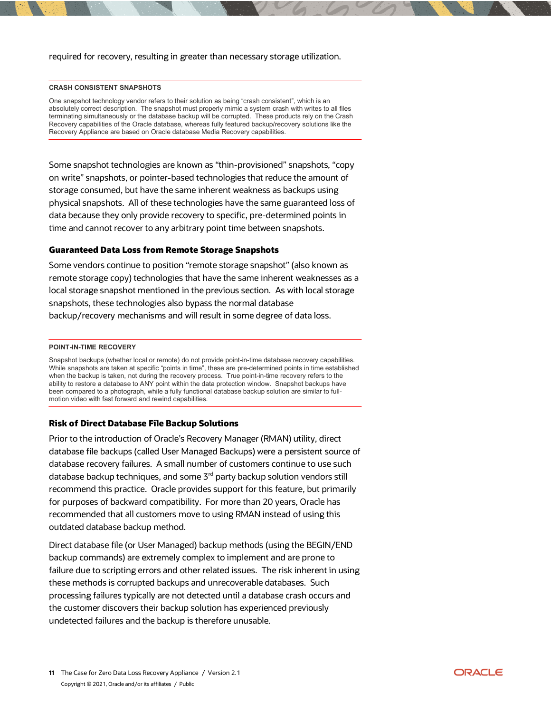### required for recovery, resulting in greater than necessary storage utilization.

#### **CRASH CONSISTENT SNAPSHOTS**

 One snapshot technology vendor refers to their solution as being "crash consistent", which is an absolutely correct description. The snapshot must properly mimic a system crash with writes to all files terminating simultaneously or the database backup will be corrupted. These products rely on the Crash Recovery capabilities of the Oracle database, whereas fully featured backup/recovery solutions like the Recovery Appliance are based on Oracle database Media Recovery capabilities.

 Some snapshot technologies are known as "thin-provisioned" snapshots, "copy on write" snapshots, or pointer-based technologies that reduce the amount of storage consumed, but have the same inherent weakness as backups using physical snapshots. All of these technologies have the same guaranteed loss of data because they only provide recovery to specific, pre-determined points in time and cannot recover to any arbitrary point time between snapshots.

#### **Guaranteed Data Loss from Remote Storage Snapshots**

 Some vendors continue to position "remote storage snapshot" (also known as local storage snapshot mentioned in the previous section. As with local storage snapshots, these technologies also bypass the normal database backup/recovery mechanisms and will result in some degree of data loss. remote storage copy) technologies that have the same inherent weaknesses as a

#### **POINT-IN-TIME RECOVERY**

 Snapshot backups (whether local or remote) do not provide point-in-time database recovery capabilities. While snapshots are taken at specific "points in time", these are pre-determined points in time established when the backup is taken, not during the recovery process. True point-in-time recovery refers to the ability to restore a database to ANY point within the data protection window. Snapshot backups have been compared to a photograph, while a fully functional database backup solution are similar to full-motion video with fast forward and rewind capabilities.

#### **Risk of Direct Database File Backup Solutions**

 Prior to the introduction of Oracle's Recovery Manager (RMAN) utility, direct database file backups (called User Managed Backups) were a persistent source of database recovery failures. A small number of customers continue to use such database backup techniques, and some 3<sup>rd</sup> party backup solution vendors still recommend this practice. Oracle provides support for this feature, but primarily for purposes of backward compatibility. For more than 20 years, Oracle has recommended that all customers move to using RMAN instead of using this outdated database backup method.

 Direct database file (or User Managed) backup methods (using the BEGIN/END backup commands) are extremely complex to implement and are prone to failure due to scripting errors and other related issues. The risk inherent in using these methods is corrupted backups and unrecoverable databases. Such processing failures typically are not detected until a database crash occurs and the customer discovers their backup solution has experienced previously undetected failures and the backup is therefore unusable.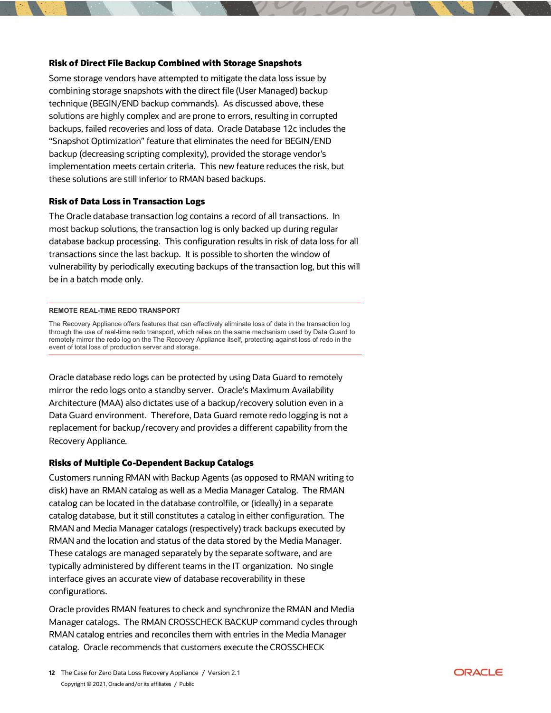## **Risk of Direct File Backup Combined with Storage Snapshots**

 Some storage vendors have attempted to mitigate the data loss issue by combining storage snapshots with the direct file (User Managed) backup technique (BEGIN/END backup commands). As discussed above, these solutions are highly complex and are prone to errors, resulting in corrupted backups, failed recoveries and loss of data. Oracle Database 12c includes the "Snapshot Optimization" feature that eliminates the need for BEGIN/END backup (decreasing scripting complexity), provided the storage vendor's implementation meets certain criteria. This new feature reduces the risk, but these solutions are still inferior to RMAN based backups.

## **Risk of Data Loss in Transaction Logs**

 The Oracle database transaction log contains a record of all transactions. In most backup solutions, the transaction log is only backed up during regular database backup processing. This configuration results in risk of data loss for all transactions since the last backup. It is possible to shorten the window of vulnerability by periodically executing backups of the transaction log, but this will be in a batch mode only.

#### **REMOTE REAL-TIME REDO TRANSPORT**

 The Recovery Appliance offers features that can effectively eliminate loss of data in the transaction log through the use of real-time redo transport, which relies on the same mechanism used by Data Guard to remotely mirror the redo log on the The Recovery Appliance itself, protecting against loss of redo in the event of total loss of production server and storage.

 Oracle database redo logs can be protected by using Data Guard to remotely mirror the redo logs onto a standby server. Oracle's Maximum Availability Architecture (MAA) also dictates use of a backup/recovery solution even in a Data Guard environment. Therefore, Data Guard remote redo logging is not a replacement for backup/recovery and provides a different capability from the Recovery Appliance.

## **Risks of Multiple Co-Dependent Backup Catalogs**

 Customers running RMAN with Backup Agents (as opposed to RMAN writing to disk) have an RMAN catalog as well as a Media Manager Catalog. The RMAN catalog can be located in the database controlfile, or (ideally) in a separate catalog database, but it still constitutes a catalog in either configuration. The RMAN and Media Manager catalogs (respectively) track backups executed by RMAN and the location and status of the data stored by the Media Manager. These catalogs are managed separately by the separate software, and are typically administered by different teams in the IT organization. No single interface gives an accurate view of database recoverability in these configurations.

 Oracle provides RMAN features to check and synchronize the RMAN and Media Manager catalogs. The RMAN CROSSCHECK BACKUP command cycles through RMAN catalog entries and reconciles them with entries in the Media Manager catalog. Oracle recommends that customers execute the CROSSCHECK

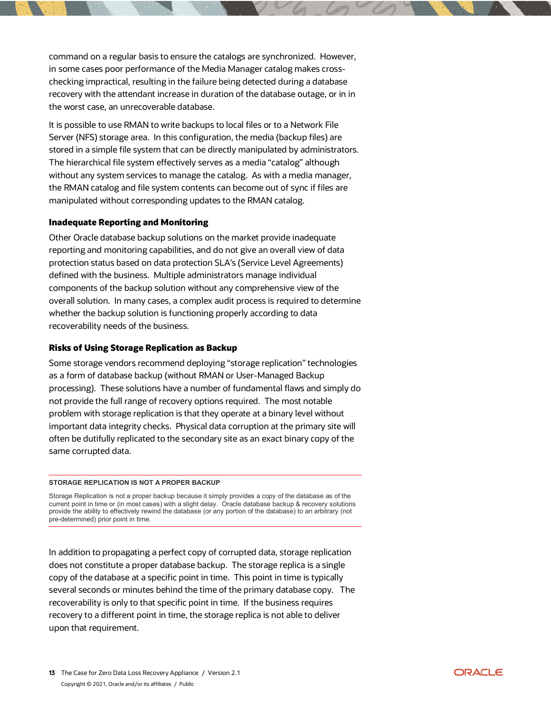command on a regular basis to ensure the catalogs are synchronized. However, in some cases poor performance of the Media Manager catalog makes cross- checking impractical, resulting in the failure being detected during a database recovery with the attendant increase in duration of the database outage, or in in the worst case, an unrecoverable database.

 It is possible to use RMAN to write backups to local files or to a Network File Server (NFS) storage area. In this configuration, the media (backup files) are stored in a simple file system that can be directly manipulated by administrators. The hierarchical file system effectively serves as a media "catalog" although without any system services to manage the catalog. As with a media manager, the RMAN catalog and file system contents can become out of sync if files are manipulated without corresponding updates to the RMAN catalog.

# **Inadequate Reporting and Monitoring**

 Other Oracle database backup solutions on the market provide inadequate reporting and monitoring capabilities, and do not give an overall view of data protection status based on data protection SLA's (Service Level Agreements) defined with the business. Multiple administrators manage individual components of the backup solution without any comprehensive view of the overall solution. In many cases, a complex audit process is required to determine whether the backup solution is functioning properly according to data recoverability needs of the business.

# **Risks of Using Storage Replication as Backup**

 Some storage vendors recommend deploying "storage replication" technologies as a form of database backup (without RMAN or User-Managed Backup processing). These solutions have a number of fundamental flaws and simply do not provide the full range of recovery options required. The most notable problem with storage replication is that they operate at a binary level without important data integrity checks. Physical data corruption at the primary site will often be dutifully replicated to the secondary site as an exact binary copy of the same corrupted data.

## **STORAGE REPLICATION IS NOT A PROPER BACKUP**

 Storage Replication is not a proper backup because it simply provides a copy of the database as of the current point in time or (in most cases) with a slight delay. Oracle database backup & recovery solutions provide the ability to effectively rewind the database (or any portion of the database) to an arbitrary (not pre-determined) prior point in time.

 In addition to propagating a perfect copy of corrupted data, storage replication does not constitute a proper database backup. The storage replica is a single copy of the database at a specific point in time. This point in time is typically several seconds or minutes behind the time of the primary database copy. The recoverability is only to that specific point in time. If the business requires recovery to a different point in time, the storage replica is not able to deliver upon that requirement.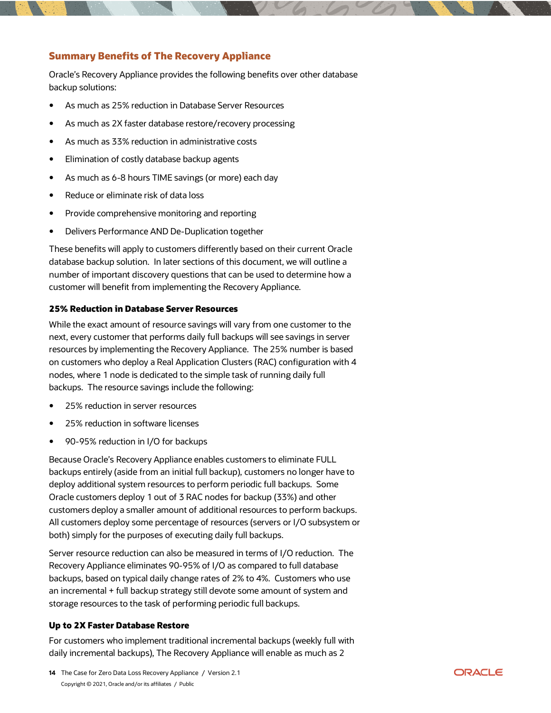# **Summary Benefits of The Recovery Appliance**

 Oracle's Recovery Appliance provides the following benefits over other database backup solutions:

- As much as 25% reduction in Database Server Resources
- As much as 2X faster database restore/recovery processing
- As much as 33% reduction in administrative costs
- Elimination of costly database backup agents
- As much as 6-8 hours TIME savings (or more) each day
- Reduce or eliminate risk of data loss
- Provide comprehensive monitoring and reporting
- Delivers Performance AND De-Duplication together

 These benefits will apply to customers differently based on their current Oracle database backup solution. In later sections of this document, we will outline a number of important discovery questions that can be used to determine how a customer will benefit from implementing the Recovery Appliance.

# **25% Reduction in Database Server Resources**

 While the exact amount of resource savings will vary from one customer to the next, every customer that performs daily full backups will see savings in server resources by implementing the Recovery Appliance. The 25% number is based on customers who deploy a Real Application Clusters (RAC) configuration with 4 nodes, where 1 node is dedicated to the simple task of running daily full backups. The resource savings include the following:

- 25% reduction in server resources
- 25% reduction in software licenses
- 90-95% reduction in I/O for backups

 Because Oracle's Recovery Appliance enables customers to eliminate FULL backups entirely (aside from an initial full backup), customers no longer have to deploy additional system resources to perform periodic full backups. Some Oracle customers deploy 1 out of 3 RAC nodes for backup (33%) and other customers deploy a smaller amount of additional resources to perform backups. All customers deploy some percentage of resources (servers or I/O subsystem or both) simply for the purposes of executing daily full backups.

 Server resource reduction can also be measured in terms of I/O reduction. The Recovery Appliance eliminates 90-95% of I/O as compared to full database backups, based on typical daily change rates of 2% to 4%. Customers who use an incremental + full backup strategy still devote some amount of system and storage resources to the task of performing periodic full backups.

# **Up to 2X Faster Database Restore**

 For customers who implement traditional incremental backups (weekly full with daily incremental backups), The Recovery Appliance will enable as much as 2

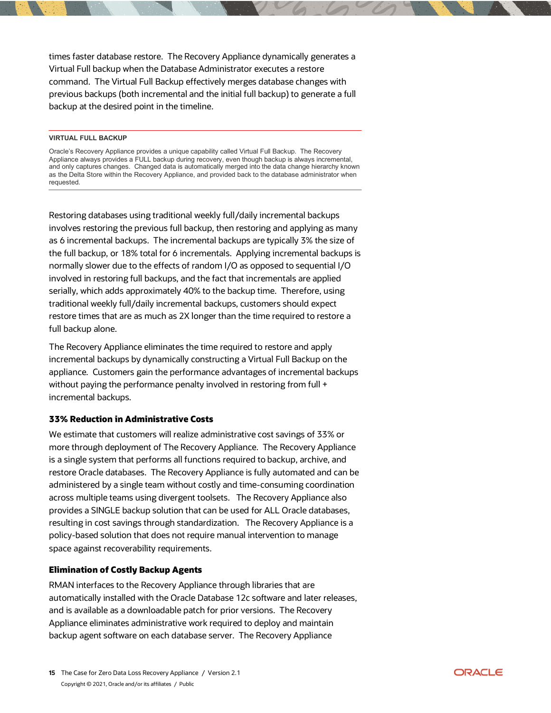times faster database restore. The Recovery Appliance dynamically generates a Virtual Full backup when the Database Administrator executes a restore command. The Virtual Full Backup effectively merges database changes with previous backups (both incremental and the initial full backup) to generate a full backup at the desired point in the timeline.

#### **VIRTUAL FULL BACKUP**

 Oracle's Recovery Appliance provides a unique capability called Virtual Full Backup. The Recovery Appliance always provides a FULL backup during recovery, even though backup is always incremental, and only captures changes. Changed data is automatically merged into the data change hierarchy known as the Delta Store within the Recovery Appliance, and provided back to the database administrator when requested.

 Restoring databases using traditional weekly full/daily incremental backups involves restoring the previous full backup, then restoring and applying as many as 6 incremental backups. The incremental backups are typically 3% the size of the full backup, or 18% total for 6 incrementals. Applying incremental backups is normally slower due to the effects of random I/O as opposed to sequential I/O involved in restoring full backups, and the fact that incrementals are applied serially, which adds approximately 40% to the backup time. Therefore, using traditional weekly full/daily incremental backups, customers should expect restore times that are as much as 2X longer than the time required to restore a full backup alone.

 The Recovery Appliance eliminates the time required to restore and apply incremental backups by dynamically constructing a Virtual Full Backup on the appliance. Customers gain the performance advantages of incremental backups without paying the performance penalty involved in restoring from full + incremental backups.

# **33% Reduction in Administrative Costs**

 We estimate that customers will realize administrative cost savings of 33% or more through deployment of The Recovery Appliance. The Recovery Appliance is a single system that performs all functions required to backup, archive, and restore Oracle databases. The Recovery Appliance is fully automated and can be administered by a single team without costly and time-consuming coordination across multiple teams using divergent toolsets. The Recovery Appliance also provides a SINGLE backup solution that can be used for ALL Oracle databases, resulting in cost savings through standardization. The Recovery Appliance is a policy-based solution that does not require manual intervention to manage space against recoverability requirements.

# **Elimination of Costly Backup Agents**

 RMAN interfaces to the Recovery Appliance through libraries that are automatically installed with the Oracle Database 12c software and later releases, and is available as a downloadable patch for prior versions. The Recovery Appliance eliminates administrative work required to deploy and maintain backup agent software on each database server. The Recovery Appliance

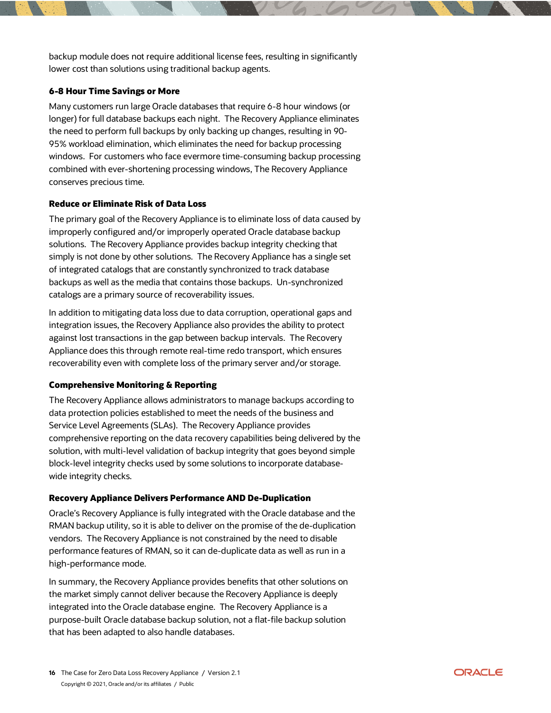backup module does not require additional license fees, resulting in significantly lower cost than solutions using traditional backup agents.

# **6-8 Hour Time Savings or More**

 Many customers run large Oracle databases that require 6-8 hour windows (or longer) for full database backups each night. The Recovery Appliance eliminates the need to perform full backups by only backing up changes, resulting in 90- 95% workload elimination, which eliminates the need for backup processing windows. For customers who face evermore time-consuming backup processing combined with ever-shortening processing windows, The Recovery Appliance conserves precious time.

# **Reduce or Eliminate Risk of Data Loss**

 The primary goal of the Recovery Appliance is to eliminate loss of data caused by improperly configured and/or improperly operated Oracle database backup solutions. The Recovery Appliance provides backup integrity checking that simply is not done by other solutions. The Recovery Appliance has a single set of integrated catalogs that are constantly synchronized to track database backups as well as the media that contains those backups. Un-synchronized catalogs are a primary source of recoverability issues.

 In addition to mitigating data loss due to data corruption, operational gaps and integration issues, the Recovery Appliance also provides the ability to protect against lost transactions in the gap between backup intervals. The Recovery Appliance does this through remote real-time redo transport, which ensures recoverability even with complete loss of the primary server and/or storage.

# **Comprehensive Monitoring & Reporting**

 The Recovery Appliance allows administrators to manage backups according to data protection policies established to meet the needs of the business and comprehensive reporting on the data recovery capabilities being delivered by the solution, with multi-level validation of backup integrity that goes beyond simple block-level integrity checks used by some solutions to incorporate database- wide integrity checks. Service Level Agreements (SLAs). The Recovery Appliance provides

# **Recovery Appliance Delivers Performance AND De-Duplication**

 Oracle's Recovery Appliance is fully integrated with the Oracle database and the RMAN backup utility, so it is able to deliver on the promise of the de-duplication vendors. The Recovery Appliance is not constrained by the need to disable performance features of RMAN, so it can de-duplicate data as well as run in a high-performance mode.

 In summary, the Recovery Appliance provides benefits that other solutions on the market simply cannot deliver because the Recovery Appliance is deeply integrated into the Oracle database engine. The Recovery Appliance is a purpose-built Oracle database backup solution, not a flat-file backup solution that has been adapted to also handle databases.

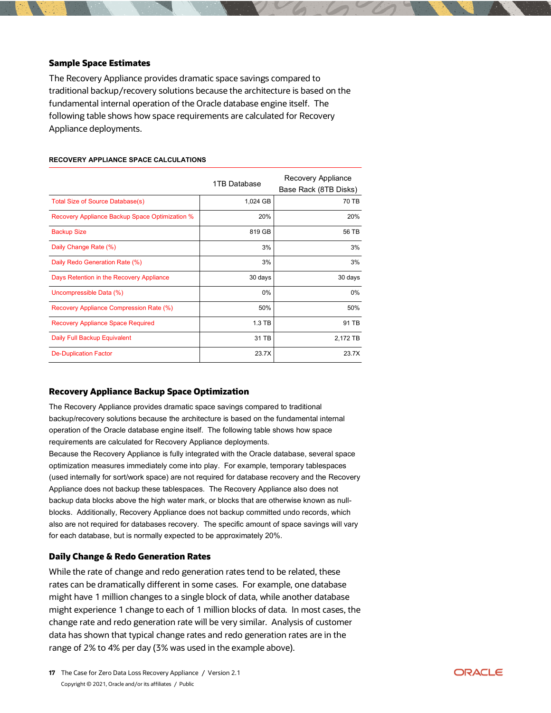## **Sample Space Estimates**

 The Recovery Appliance provides dramatic space savings compared to traditional backup/recovery solutions because the architecture is based on the fundamental internal operation of the Oracle database engine itself. The following table shows how space requirements are calculated for Recovery Appliance deployments.

## **RECOVERY APPLIANCE SPACE CALCULATIONS**

|                                                | 1TB Database | Recovery Appliance<br>Base Rack (8TB Disks) |
|------------------------------------------------|--------------|---------------------------------------------|
| Total Size of Source Database(s)               | 1,024 GB     | 70 TB                                       |
| Recovery Appliance Backup Space Optimization % | 20%          | 20%                                         |
| <b>Backup Size</b>                             | 819 GB       | 56 TB                                       |
| Daily Change Rate (%)                          | 3%           | 3%                                          |
| Daily Redo Generation Rate (%)                 | 3%           | 3%                                          |
| Days Retention in the Recovery Appliance       | 30 days      | 30 days                                     |
| Uncompressible Data (%)                        | 0%           | $0\%$                                       |
| Recovery Appliance Compression Rate (%)        | 50%          | 50%                                         |
| <b>Recovery Appliance Space Required</b>       | $1.3$ TB     | 91 TB                                       |
| Daily Full Backup Equivalent                   | 31 TB        | 2,172 TB                                    |
| <b>De-Duplication Factor</b>                   | 23.7X        | 23.7X                                       |

# **Recovery Appliance Backup Space Optimization**

 The Recovery Appliance provides dramatic space savings compared to traditional backup/recovery solutions because the architecture is based on the fundamental internal operation of the Oracle database engine itself. The following table shows how space requirements are calculated for Recovery Appliance deployments. Because the Recovery Appliance is fully integrated with the Oracle database, several space optimization measures immediately come into play. For example, temporary tablespaces (used internally for sort/work space) are not required for database recovery and the Recovery Appliance does not backup these tablespaces. The Recovery Appliance also does not backup data blocks above the high water mark, or blocks that are otherwise known as null- blocks. Additionally, Recovery Appliance does not backup committed undo records, which also are not required for databases recovery. The specific amount of space savings will vary for each database, but is normally expected to be approximately 20%.

## **Daily Change & Redo Generation Rates**

 While the rate of change and redo generation rates tend to be related, these rates can be dramatically different in some cases. For example, one database might have 1 million changes to a single block of data, while another database might experience 1 change to each of 1 million blocks of data. In most cases, the change rate and redo generation rate will be very similar. Analysis of customer data has shown that typical change rates and redo generation rates are in the range of 2% to 4% per day (3% was used in the example above).

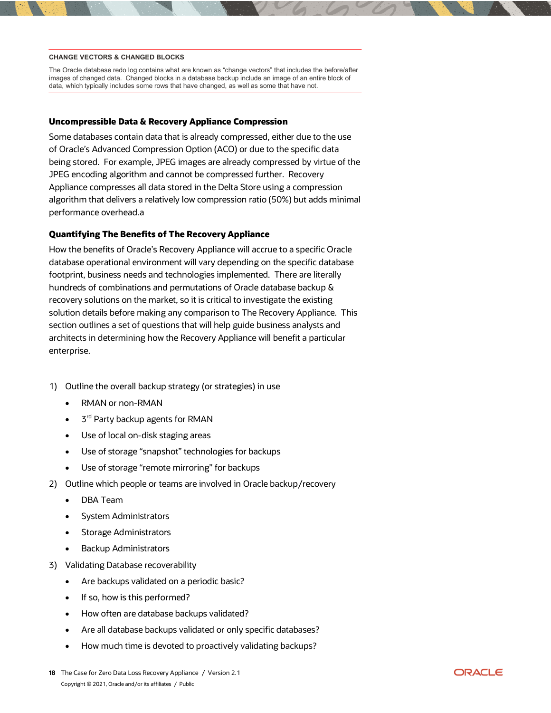#### **CHANGE VECTORS & CHANGED BLOCKS**

 The Oracle database redo log contains what are known as "change vectors" that includes the before/after images of changed data. Changed blocks in a database backup include an image of an entire block of data, which typically includes some rows that have changed, as well as some that have not.

## **Uncompressible Data & Recovery Appliance Compression**

 Some databases contain data that is already compressed, either due to the use of Oracle's Advanced Compression Option (ACO) or due to the specific data being stored. For example, JPEG images are already compressed by virtue of the JPEG encoding algorithm and cannot be compressed further. Recovery Appliance compresses all data stored in the Delta Store using a compression algorithm that delivers a relatively low compression ratio (50%) but adds minimal performance overhead.a

## **Quantifying The Benefits of The Recovery Appliance**

 How the benefits of Oracle's Recovery Appliance will accrue to a specific Oracle database operational environment will vary depending on the specific database footprint, business needs and technologies implemented. There are literally hundreds of combinations and permutations of Oracle database backup & recovery solutions on the market, so it is critical to investigate the existing solution details before making any comparison to The Recovery Appliance. This section outlines a set of questions that will help guide business analysts and architects in determining how the Recovery Appliance will benefit a particular enterprise.

- 1) Outline the overall backup strategy (or strategies) in use
	- RMAN or non-RMAN
	- 3<sup>rd</sup> Party backup agents for RMAN
	- Use of local on-disk staging areas
	- Use of storage "snapshot" technologies for backups
	- Use of storage "remote mirroring" for backups
- 2) Outline which people or teams are involved in Oracle backup/recovery
	- DBA Team
	- System Administrators
	- Storage Administrators
	- Backup Administrators
- 3) Validating Database recoverability
	- Are backups validated on a periodic basic?
	- If so, how is this performed?
	- How often are database backups validated?
	- Are all database backups validated or only specific databases?
	- How much time is devoted to proactively validating backups?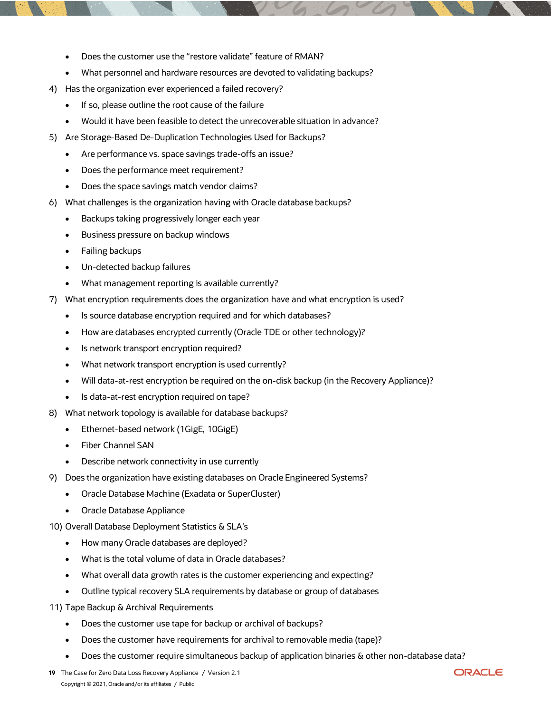- Does the customer use the "restore validate" feature of RMAN?
- What personnel and hardware resources are devoted to validating backups?
- 4) Has the organization ever experienced a failed recovery?
	- If so, please outline the root cause of the failure
	- Would it have been feasible to detect the unrecoverable situation in advance?
- 5) Are Storage-Based De-Duplication Technologies Used for Backups?
	- Are performance vs. space savings trade-offs an issue?
	- Does the performance meet requirement?
	- Does the space savings match vendor claims?
- 6) What challenges is the organization having with Oracle database backups?
	- Backups taking progressively longer each year
	- Business pressure on backup windows
	- Failing backups
	- Un-detected backup failures
	- What management reporting is available currently?
- 7) What encryption requirements does the organization have and what encryption is used?
	- Is source database encryption required and for which databases?
	- How are databases encrypted currently (Oracle TDE or other technology)?
	- Is network transport encryption required?
	- What network transport encryption is used currently?
	- Will data-at-rest encryption be required on the on-disk backup (in the Recovery Appliance)?
	- Is data-at-rest encryption required on tape?
- 8) What network topology is available for database backups?
	- Ethernet-based network (1GigE, 10GigE)
	- Fiber Channel SAN
	- Describe network connectivity in use currently
- 9) Does the organization have existing databases on Oracle Engineered Systems?
	- Oracle Database Machine (Exadata or SuperCluster)
	- Oracle Database Appliance
- 10) Overall Database Deployment Statistics & SLA's
	- How many Oracle databases are deployed?
	- What is the total volume of data in Oracle databases?
	- What overall data growth rates is the customer experiencing and expecting?
	- Outline typical recovery SLA requirements by database or group of databases
- 11) Tape Backup & Archival Requirements
	- Does the customer use tape for backup or archival of backups?
	- Does the customer have requirements for archival to removable media (tape)?
	- Does the customer require simultaneous backup of application binaries & other non-database data?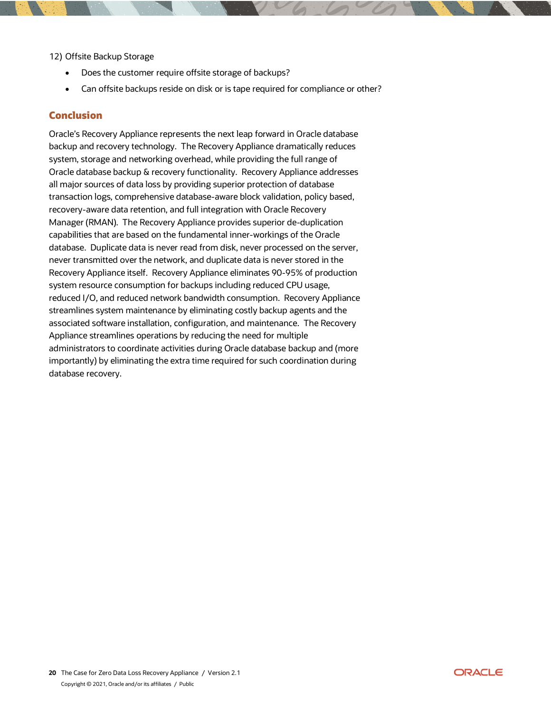12) Offsite Backup Storage

- Does the customer require offsite storage of backups?
- Can offsite backups reside on disk or is tape required for compliance or other?

# **Conclusion**

 Oracle's Recovery Appliance represents the next leap forward in Oracle database backup and recovery technology. The Recovery Appliance dramatically reduces system, storage and networking overhead, while providing the full range of Oracle database backup & recovery functionality. Recovery Appliance addresses all major sources of data loss by providing superior protection of database transaction logs, comprehensive database-aware block validation, policy based, recovery-aware data retention, and full integration with Oracle Recovery Manager (RMAN). The Recovery Appliance provides superior de-duplication capabilities that are based on the fundamental inner-workings of the Oracle database. Duplicate data is never read from disk, never processed on the server, never transmitted over the network, and duplicate data is never stored in the Recovery Appliance itself. Recovery Appliance eliminates 90-95% of production system resource consumption for backups including reduced CPU usage, reduced I/O, and reduced network bandwidth consumption. Recovery Appliance streamlines system maintenance by eliminating costly backup agents and the associated software installation, configuration, and maintenance. The Recovery Appliance streamlines operations by reducing the need for multiple administrators to coordinate activities during Oracle database backup and (more importantly) by eliminating the extra time required for such coordination during database recovery.